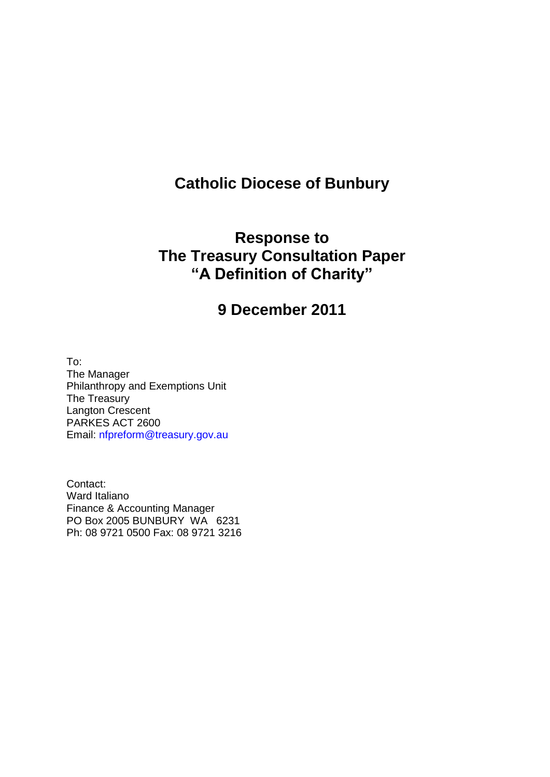# **Catholic Diocese of Bunbury**

# **Response to The Treasury Consultation Paper "A Definition of Charity"**

# **9 December 2011**

To: The Manager Philanthropy and Exemptions Unit The Treasury Langton Crescent PARKES ACT 2600 Email: nfpreform@treasury.gov.au

Contact: Ward Italiano Finance & Accounting Manager PO Box 2005 BUNBURY WA 6231 Ph: 08 9721 0500 Fax: 08 9721 3216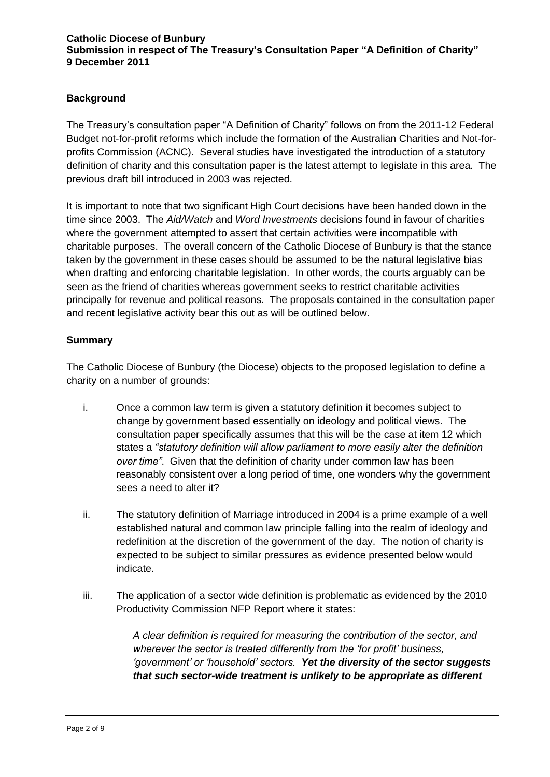### **Background**

The Treasury's consultation paper "A Definition of Charity" follows on from the 2011-12 Federal Budget not-for-profit reforms which include the formation of the Australian Charities and Not-forprofits Commission (ACNC). Several studies have investigated the introduction of a statutory definition of charity and this consultation paper is the latest attempt to legislate in this area. The previous draft bill introduced in 2003 was rejected.

It is important to note that two significant High Court decisions have been handed down in the time since 2003. The *Aid/Watch* and *Word Investments* decisions found in favour of charities where the government attempted to assert that certain activities were incompatible with charitable purposes. The overall concern of the Catholic Diocese of Bunbury is that the stance taken by the government in these cases should be assumed to be the natural legislative bias when drafting and enforcing charitable legislation. In other words, the courts arguably can be seen as the friend of charities whereas government seeks to restrict charitable activities principally for revenue and political reasons. The proposals contained in the consultation paper and recent legislative activity bear this out as will be outlined below.

#### **Summary**

The Catholic Diocese of Bunbury (the Diocese) objects to the proposed legislation to define a charity on a number of grounds:

- i. Once a common law term is given a statutory definition it becomes subject to change by government based essentially on ideology and political views. The consultation paper specifically assumes that this will be the case at item 12 which states a *"statutory definition will allow parliament to more easily alter the definition over time"*. Given that the definition of charity under common law has been reasonably consistent over a long period of time, one wonders why the government sees a need to alter it?
- ii. The statutory definition of Marriage introduced in 2004 is a prime example of a well established natural and common law principle falling into the realm of ideology and redefinition at the discretion of the government of the day. The notion of charity is expected to be subject to similar pressures as evidence presented below would indicate.
- iii. The application of a sector wide definition is problematic as evidenced by the 2010 Productivity Commission NFP Report where it states:

*A clear definition is required for measuring the contribution of the sector, and wherever the sector is treated differently from the 'for profit' business, 'government' or 'household' sectors. Yet the diversity of the sector suggests that such sector-wide treatment is unlikely to be appropriate as different*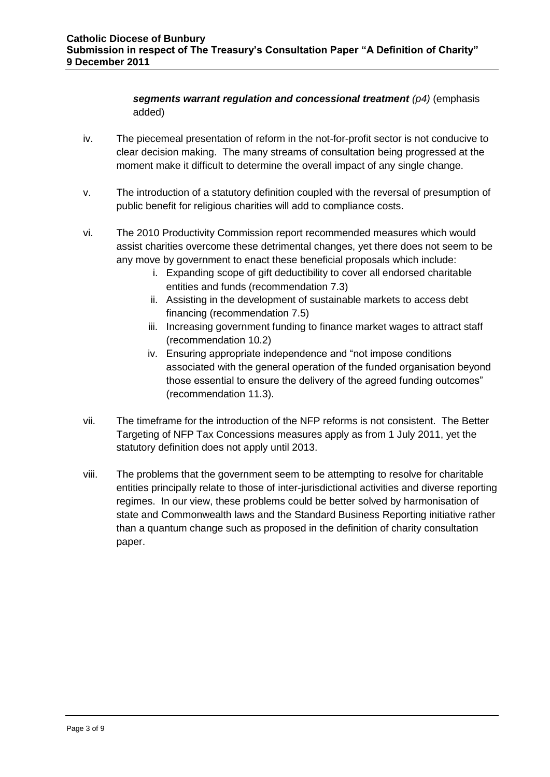### *segments warrant regulation and concessional treatment (p4)* (emphasis added)

- iv. The piecemeal presentation of reform in the not-for-profit sector is not conducive to clear decision making. The many streams of consultation being progressed at the moment make it difficult to determine the overall impact of any single change.
- v. The introduction of a statutory definition coupled with the reversal of presumption of public benefit for religious charities will add to compliance costs.
- vi. The 2010 Productivity Commission report recommended measures which would assist charities overcome these detrimental changes, yet there does not seem to be any move by government to enact these beneficial proposals which include:
	- i. Expanding scope of gift deductibility to cover all endorsed charitable entities and funds (recommendation 7.3)
	- ii. Assisting in the development of sustainable markets to access debt financing (recommendation 7.5)
	- iii. Increasing government funding to finance market wages to attract staff (recommendation 10.2)
	- iv. Ensuring appropriate independence and "not impose conditions associated with the general operation of the funded organisation beyond those essential to ensure the delivery of the agreed funding outcomes" (recommendation 11.3).
- vii. The timeframe for the introduction of the NFP reforms is not consistent. The Better Targeting of NFP Tax Concessions measures apply as from 1 July 2011, yet the statutory definition does not apply until 2013.
- viii. The problems that the government seem to be attempting to resolve for charitable entities principally relate to those of inter-jurisdictional activities and diverse reporting regimes. In our view, these problems could be better solved by harmonisation of state and Commonwealth laws and the Standard Business Reporting initiative rather than a quantum change such as proposed in the definition of charity consultation paper.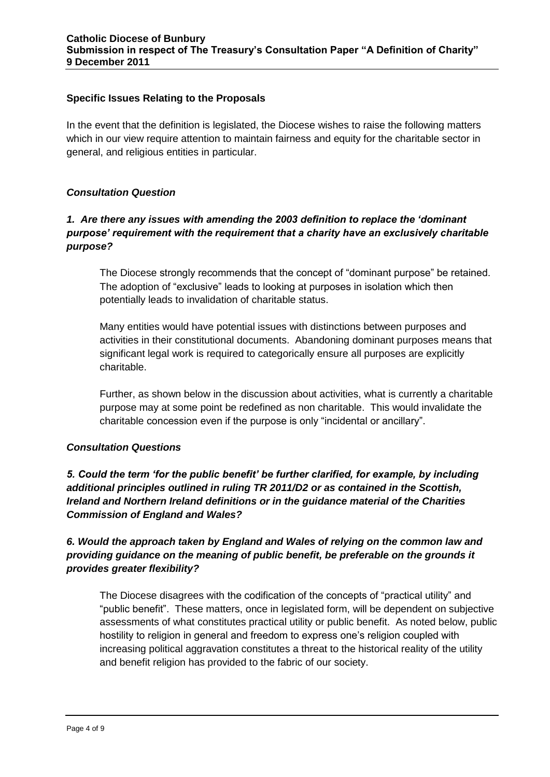#### **Specific Issues Relating to the Proposals**

In the event that the definition is legislated, the Diocese wishes to raise the following matters which in our view require attention to maintain fairness and equity for the charitable sector in general, and religious entities in particular.

#### *Consultation Question*

# *1. Are there any issues with amending the 2003 definition to replace the 'dominant purpose' requirement with the requirement that a charity have an exclusively charitable purpose?*

The Diocese strongly recommends that the concept of "dominant purpose" be retained. The adoption of "exclusive" leads to looking at purposes in isolation which then potentially leads to invalidation of charitable status.

Many entities would have potential issues with distinctions between purposes and activities in their constitutional documents. Abandoning dominant purposes means that significant legal work is required to categorically ensure all purposes are explicitly charitable.

Further, as shown below in the discussion about activities, what is currently a charitable purpose may at some point be redefined as non charitable. This would invalidate the charitable concession even if the purpose is only "incidental or ancillary".

#### *Consultation Questions*

*5. Could the term 'for the public benefit' be further clarified, for example, by including additional principles outlined in ruling TR 2011/D2 or as contained in the Scottish, Ireland and Northern Ireland definitions or in the guidance material of the Charities Commission of England and Wales?* 

# *6. Would the approach taken by England and Wales of relying on the common law and providing guidance on the meaning of public benefit, be preferable on the grounds it provides greater flexibility?*

The Diocese disagrees with the codification of the concepts of "practical utility" and "public benefit". These matters, once in legislated form, will be dependent on subjective assessments of what constitutes practical utility or public benefit. As noted below, public hostility to religion in general and freedom to express one's religion coupled with increasing political aggravation constitutes a threat to the historical reality of the utility and benefit religion has provided to the fabric of our society.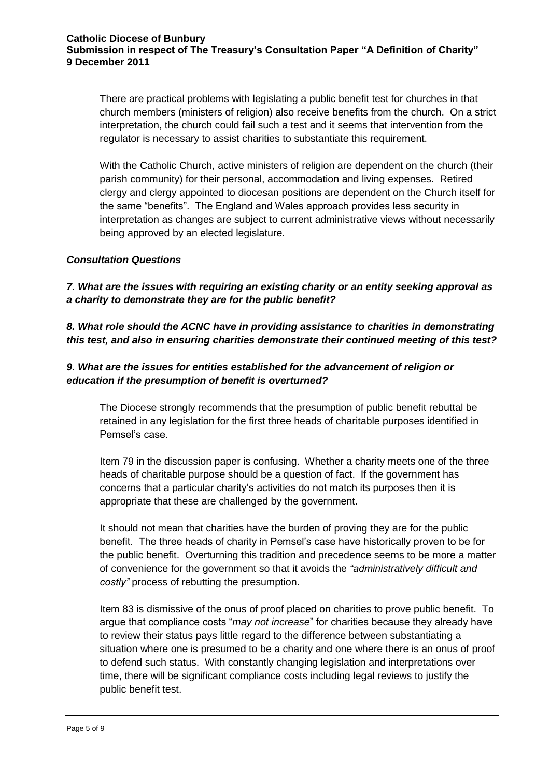There are practical problems with legislating a public benefit test for churches in that church members (ministers of religion) also receive benefits from the church. On a strict interpretation, the church could fail such a test and it seems that intervention from the regulator is necessary to assist charities to substantiate this requirement.

With the Catholic Church, active ministers of religion are dependent on the church (their parish community) for their personal, accommodation and living expenses. Retired clergy and clergy appointed to diocesan positions are dependent on the Church itself for the same "benefits". The England and Wales approach provides less security in interpretation as changes are subject to current administrative views without necessarily being approved by an elected legislature.

#### *Consultation Questions*

*7. What are the issues with requiring an existing charity or an entity seeking approval as a charity to demonstrate they are for the public benefit?* 

*8. What role should the ACNC have in providing assistance to charities in demonstrating this test, and also in ensuring charities demonstrate their continued meeting of this test?* 

### *9. What are the issues for entities established for the advancement of religion or education if the presumption of benefit is overturned?*

The Diocese strongly recommends that the presumption of public benefit rebuttal be retained in any legislation for the first three heads of charitable purposes identified in Pemsel's case.

Item 79 in the discussion paper is confusing. Whether a charity meets one of the three heads of charitable purpose should be a question of fact. If the government has concerns that a particular charity's activities do not match its purposes then it is appropriate that these are challenged by the government.

It should not mean that charities have the burden of proving they are for the public benefit. The three heads of charity in Pemsel's case have historically proven to be for the public benefit. Overturning this tradition and precedence seems to be more a matter of convenience for the government so that it avoids the *"administratively difficult and costly"* process of rebutting the presumption.

Item 83 is dismissive of the onus of proof placed on charities to prove public benefit. To argue that compliance costs "*may not increase*" for charities because they already have to review their status pays little regard to the difference between substantiating a situation where one is presumed to be a charity and one where there is an onus of proof to defend such status. With constantly changing legislation and interpretations over time, there will be significant compliance costs including legal reviews to justify the public benefit test.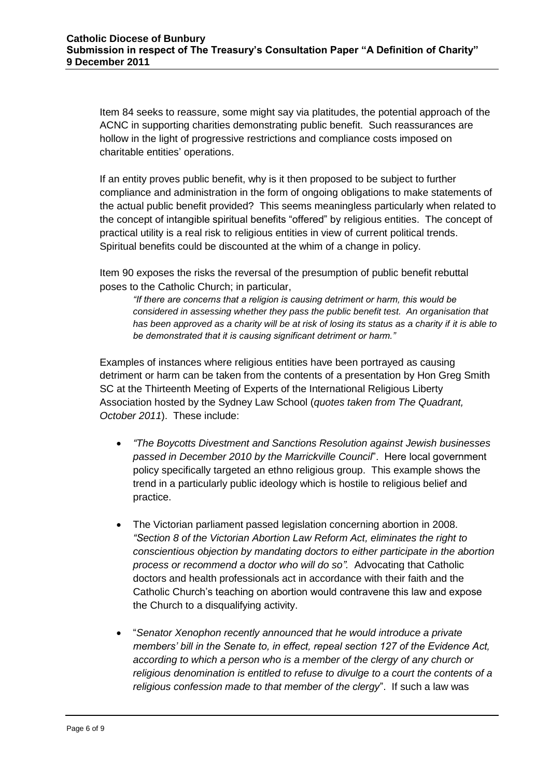Item 84 seeks to reassure, some might say via platitudes, the potential approach of the ACNC in supporting charities demonstrating public benefit. Such reassurances are hollow in the light of progressive restrictions and compliance costs imposed on charitable entities' operations.

If an entity proves public benefit, why is it then proposed to be subject to further compliance and administration in the form of ongoing obligations to make statements of the actual public benefit provided? This seems meaningless particularly when related to the concept of intangible spiritual benefits "offered" by religious entities. The concept of practical utility is a real risk to religious entities in view of current political trends. Spiritual benefits could be discounted at the whim of a change in policy.

Item 90 exposes the risks the reversal of the presumption of public benefit rebuttal poses to the Catholic Church; in particular,

*"If there are concerns that a religion is causing detriment or harm, this would be considered in assessing whether they pass the public benefit test. An organisation that has been approved as a charity will be at risk of losing its status as a charity if it is able to be demonstrated that it is causing significant detriment or harm."* 

Examples of instances where religious entities have been portrayed as causing detriment or harm can be taken from the contents of a presentation by Hon Greg Smith SC at the Thirteenth Meeting of Experts of the International Religious Liberty Association hosted by the Sydney Law School (*quotes taken from The Quadrant, October 2011*). These include:

- *"The Boycotts Divestment and Sanctions Resolution against Jewish businesses passed in December 2010 by the Marrickville Council*". Here local government policy specifically targeted an ethno religious group. This example shows the trend in a particularly public ideology which is hostile to religious belief and practice.
- The Victorian parliament passed legislation concerning abortion in 2008. *"Section 8 of the Victorian Abortion Law Reform Act, eliminates the right to conscientious objection by mandating doctors to either participate in the abortion process or recommend a doctor who will do so".* Advocating that Catholic doctors and health professionals act in accordance with their faith and the Catholic Church's teaching on abortion would contravene this law and expose the Church to a disqualifying activity.
- "*Senator Xenophon recently announced that he would introduce a private members' bill in the Senate to, in effect, repeal section 127 of the Evidence Act, according to which a person who is a member of the clergy of any church or religious denomination is entitled to refuse to divulge to a court the contents of a religious confession made to that member of the clergy*". If such a law was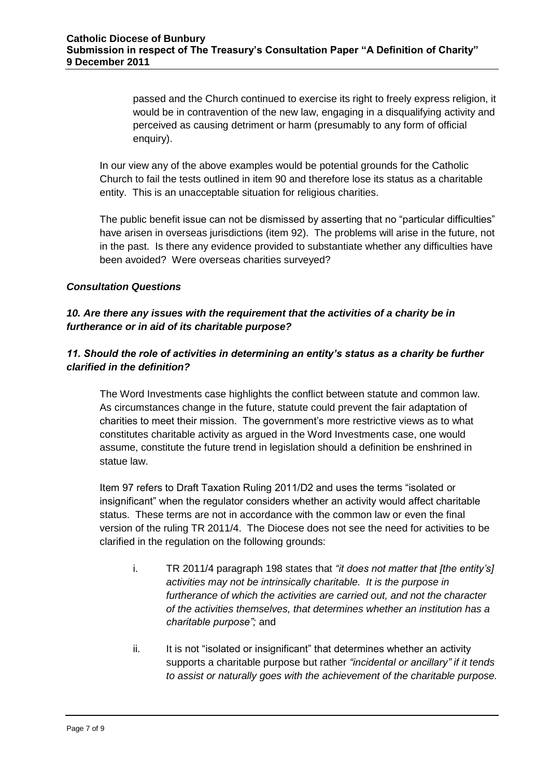passed and the Church continued to exercise its right to freely express religion, it would be in contravention of the new law, engaging in a disqualifying activity and perceived as causing detriment or harm (presumably to any form of official enquiry).

In our view any of the above examples would be potential grounds for the Catholic Church to fail the tests outlined in item 90 and therefore lose its status as a charitable entity. This is an unacceptable situation for religious charities.

The public benefit issue can not be dismissed by asserting that no "particular difficulties" have arisen in overseas jurisdictions (item 92). The problems will arise in the future, not in the past. Is there any evidence provided to substantiate whether any difficulties have been avoided? Were overseas charities surveyed?

#### *Consultation Questions*

*10. Are there any issues with the requirement that the activities of a charity be in furtherance or in aid of its charitable purpose?* 

# *11. Should the role of activities in determining an entity's status as a charity be further clarified in the definition?*

The Word Investments case highlights the conflict between statute and common law. As circumstances change in the future, statute could prevent the fair adaptation of charities to meet their mission. The government's more restrictive views as to what constitutes charitable activity as argued in the Word Investments case, one would assume, constitute the future trend in legislation should a definition be enshrined in statue law.

Item 97 refers to Draft Taxation Ruling 2011/D2 and uses the terms "isolated or insignificant" when the regulator considers whether an activity would affect charitable status. These terms are not in accordance with the common law or even the final version of the ruling TR 2011/4. The Diocese does not see the need for activities to be clarified in the regulation on the following grounds:

- i. TR 2011/4 paragraph 198 states that *"it does not matter that [the entity's] activities may not be intrinsically charitable. It is the purpose in furtherance of which the activities are carried out, and not the character of the activities themselves, that determines whether an institution has a charitable purpose";* and
- ii. It is not "isolated or insignificant" that determines whether an activity supports a charitable purpose but rather *"incidental or ancillary" if it tends to assist or naturally goes with the achievement of the charitable purpose.*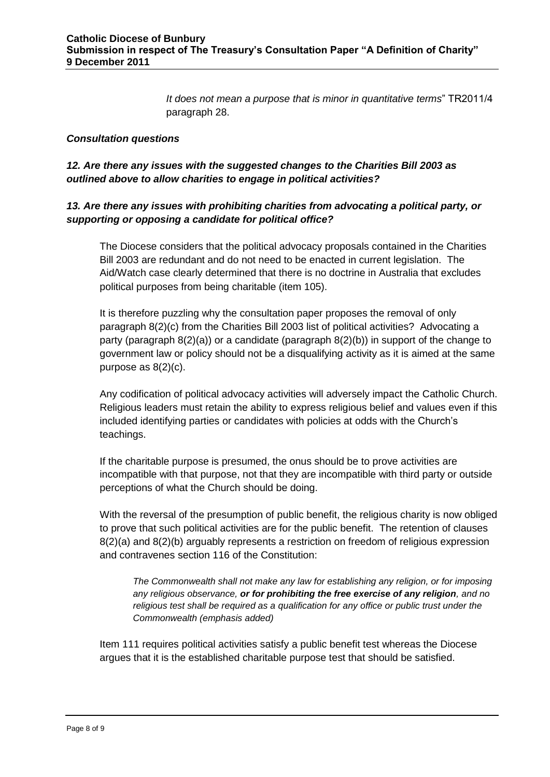*It does not mean a purpose that is minor in quantitative terms*" TR2011/4 paragraph 28.

#### *Consultation questions*

### *12. Are there any issues with the suggested changes to the Charities Bill 2003 as outlined above to allow charities to engage in political activities?*

### *13. Are there any issues with prohibiting charities from advocating a political party, or supporting or opposing a candidate for political office?*

The Diocese considers that the political advocacy proposals contained in the Charities Bill 2003 are redundant and do not need to be enacted in current legislation. The Aid/Watch case clearly determined that there is no doctrine in Australia that excludes political purposes from being charitable (item 105).

It is therefore puzzling why the consultation paper proposes the removal of only paragraph 8(2)(c) from the Charities Bill 2003 list of political activities? Advocating a party (paragraph  $8(2)(a)$ ) or a candidate (paragraph  $8(2)(b)$ ) in support of the change to government law or policy should not be a disqualifying activity as it is aimed at the same purpose as 8(2)(c).

Any codification of political advocacy activities will adversely impact the Catholic Church. Religious leaders must retain the ability to express religious belief and values even if this included identifying parties or candidates with policies at odds with the Church's teachings.

If the charitable purpose is presumed, the onus should be to prove activities are incompatible with that purpose, not that they are incompatible with third party or outside perceptions of what the Church should be doing.

With the reversal of the presumption of public benefit, the religious charity is now obliged to prove that such political activities are for the public benefit. The retention of clauses 8(2)(a) and 8(2)(b) arguably represents a restriction on freedom of religious expression and contravenes section 116 of the Constitution:

*The Commonwealth shall not make any law for establishing any religion, or for imposing any religious observance, or for prohibiting the free exercise of any religion, and no religious test shall be required as a qualification for any office or public trust under the Commonwealth (emphasis added)*

Item 111 requires political activities satisfy a public benefit test whereas the Diocese argues that it is the established charitable purpose test that should be satisfied.